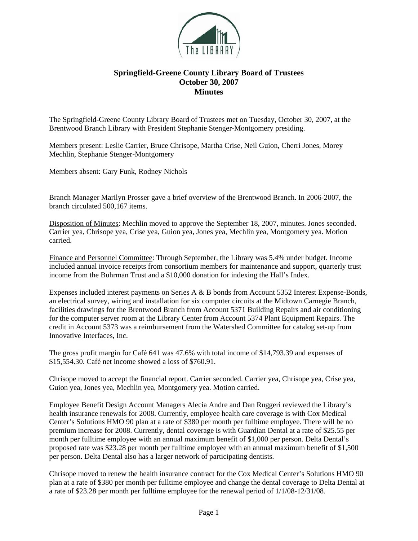

## **Springfield-Greene County Library Board of Trustees October 30, 2007 Minutes**

The Springfield-Greene County Library Board of Trustees met on Tuesday, October 30, 2007, at the Brentwood Branch Library with President Stephanie Stenger-Montgomery presiding.

Members present: Leslie Carrier, Bruce Chrisope, Martha Crise, Neil Guion, Cherri Jones, Morey Mechlin, Stephanie Stenger-Montgomery

Members absent: Gary Funk, Rodney Nichols

Branch Manager Marilyn Prosser gave a brief overview of the Brentwood Branch. In 2006-2007, the branch circulated 500,167 items.

Disposition of Minutes: Mechlin moved to approve the September 18, 2007, minutes. Jones seconded. Carrier yea, Chrisope yea, Crise yea, Guion yea, Jones yea, Mechlin yea, Montgomery yea. Motion carried.

Finance and Personnel Committee: Through September, the Library was 5.4% under budget. Income included annual invoice receipts from consortium members for maintenance and support, quarterly trust income from the Buhrman Trust and a \$10,000 donation for indexing the Hall's Index.

Expenses included interest payments on Series A & B bonds from Account 5352 Interest Expense-Bonds, an electrical survey, wiring and installation for six computer circuits at the Midtown Carnegie Branch, facilities drawings for the Brentwood Branch from Account 5371 Building Repairs and air conditioning for the computer server room at the Library Center from Account 5374 Plant Equipment Repairs. The credit in Account 5373 was a reimbursement from the Watershed Committee for catalog set-up from Innovative Interfaces, Inc.

The gross profit margin for Café 641 was 47.6% with total income of \$14,793.39 and expenses of \$15,554.30. Café net income showed a loss of \$760.91.

Chrisope moved to accept the financial report. Carrier seconded. Carrier yea, Chrisope yea, Crise yea, Guion yea, Jones yea, Mechlin yea, Montgomery yea. Motion carried.

Employee Benefit Design Account Managers Alecia Andre and Dan Ruggeri reviewed the Library's health insurance renewals for 2008. Currently, employee health care coverage is with Cox Medical Center's Solutions HMO 90 plan at a rate of \$380 per month per fulltime employee. There will be no premium increase for 2008. Currently, dental coverage is with Guardian Dental at a rate of \$25.55 per month per fulltime employee with an annual maximum benefit of \$1,000 per person. Delta Dental's proposed rate was \$23.28 per month per fulltime employee with an annual maximum benefit of \$1,500 per person. Delta Dental also has a larger network of participating dentists.

Chrisope moved to renew the health insurance contract for the Cox Medical Center's Solutions HMO 90 plan at a rate of \$380 per month per fulltime employee and change the dental coverage to Delta Dental at a rate of \$23.28 per month per fulltime employee for the renewal period of 1/1/08-12/31/08.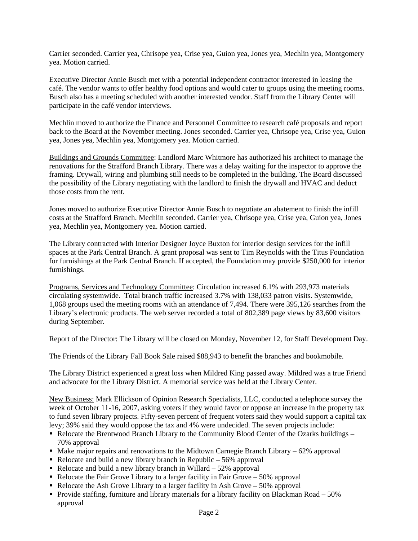Carrier seconded. Carrier yea, Chrisope yea, Crise yea, Guion yea, Jones yea, Mechlin yea, Montgomery yea. Motion carried.

Executive Director Annie Busch met with a potential independent contractor interested in leasing the café. The vendor wants to offer healthy food options and would cater to groups using the meeting rooms. Busch also has a meeting scheduled with another interested vendor. Staff from the Library Center will participate in the café vendor interviews.

Mechlin moved to authorize the Finance and Personnel Committee to research café proposals and report back to the Board at the November meeting. Jones seconded. Carrier yea, Chrisope yea, Crise yea, Guion yea, Jones yea, Mechlin yea, Montgomery yea. Motion carried.

Buildings and Grounds Committee: Landlord Marc Whitmore has authorized his architect to manage the renovations for the Strafford Branch Library. There was a delay waiting for the inspector to approve the framing. Drywall, wiring and plumbing still needs to be completed in the building. The Board discussed the possibility of the Library negotiating with the landlord to finish the drywall and HVAC and deduct those costs from the rent.

Jones moved to authorize Executive Director Annie Busch to negotiate an abatement to finish the infill costs at the Strafford Branch. Mechlin seconded. Carrier yea, Chrisope yea, Crise yea, Guion yea, Jones yea, Mechlin yea, Montgomery yea. Motion carried.

The Library contracted with Interior Designer Joyce Buxton for interior design services for the infill spaces at the Park Central Branch. A grant proposal was sent to Tim Reynolds with the Titus Foundation for furnishings at the Park Central Branch. If accepted, the Foundation may provide \$250,000 for interior furnishings.

Programs, Services and Technology Committee: Circulation increased 6.1% with 293,973 materials circulating systemwide. Total branch traffic increased 3.7% with 138,033 patron visits. Systemwide, 1,068 groups used the meeting rooms with an attendance of 7,494. There were 395,126 searches from the Library's electronic products. The web server recorded a total of 802,389 page views by 83,600 visitors during September.

Report of the Director: The Library will be closed on Monday, November 12, for Staff Development Day.

The Friends of the Library Fall Book Sale raised \$88,943 to benefit the branches and bookmobile.

The Library District experienced a great loss when Mildred King passed away. Mildred was a true Friend and advocate for the Library District. A memorial service was held at the Library Center.

New Business: Mark Ellickson of Opinion Research Specialists, LLC, conducted a telephone survey the week of October 11-16, 2007, asking voters if they would favor or oppose an increase in the property tax to fund seven library projects. Fifty-seven percent of frequent voters said they would support a capital tax levy; 39% said they would oppose the tax and 4% were undecided. The seven projects include:

- Relocate the Brentwood Branch Library to the Community Blood Center of the Ozarks buildings 70% approval
- $\blacksquare$  Make major repairs and renovations to the Midtown Carnegie Branch Library 62% approval
- Relocate and build a new library branch in Republic  $-56\%$  approval
- Relocate and build a new library branch in Willard  $52\%$  approval
- Relocate the Fair Grove Library to a larger facility in Fair Grove  $-50\%$  approval
- Relocate the Ash Grove Library to a larger facility in Ash Grove 50% approval
- Provide staffing, furniture and library materials for a library facility on Blackman Road 50% approval